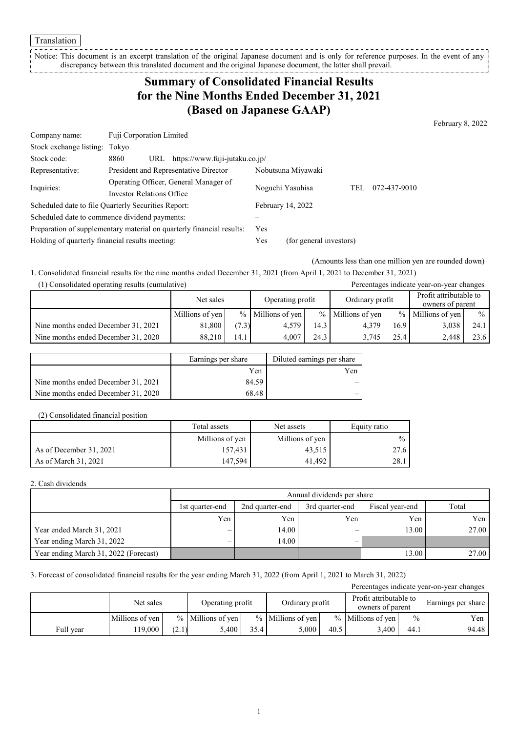#### Translation

Notice: This document is an excerpt translation of the original Japanese document and is only for reference purposes. In the event of any discrepancy between this translated document and the original Japanese document, the latter shall prevail.

## **Summary of Consolidated Financial Results for the Nine Months Ended December 31, 2021 (Based on Japanese GAAP)**

February 8, 2022

| Company name:                                   | Fuji Corporation Limited                                              |            |                         |     |              |
|-------------------------------------------------|-----------------------------------------------------------------------|------------|-------------------------|-----|--------------|
| Stock exchange listing: Tokyo                   |                                                                       |            |                         |     |              |
| Stock code:                                     | https://www.fuji-jutaku.co.jp/<br>8860<br>URL                         |            |                         |     |              |
| Representative:                                 | President and Representative Director                                 |            | Nobutsuna Miyawaki      |     |              |
| Inquiries:                                      | Operating Officer, General Manager of                                 |            | Noguchi Yasuhisa        | TEL | 072-437-9010 |
|                                                 | <b>Investor Relations Office</b>                                      |            |                         |     |              |
|                                                 | Scheduled date to file Quarterly Securities Report:                   |            | February 14, 2022       |     |              |
|                                                 | Scheduled date to commence dividend payments:                         |            |                         |     |              |
|                                                 | Preparation of supplementary material on quarterly financial results: | <b>Yes</b> |                         |     |              |
| Holding of quarterly financial results meeting: |                                                                       | Yes        | (for general investors) |     |              |

(Amounts less than one million yen are rounded down)

1. Consolidated financial results for the nine months ended December 31, 2021 (from April 1, 2021 to December 31, 2021)

| (1) Consolidated operating results (cumulative) |                 |       |                     |      |                     | Percentages indicate year-on-year changes |                                            |      |  |
|-------------------------------------------------|-----------------|-------|---------------------|------|---------------------|-------------------------------------------|--------------------------------------------|------|--|
|                                                 | Net sales       |       | Operating profit    |      | Ordinary profit     |                                           | Profit attributable to<br>owners of parent |      |  |
|                                                 | Millions of yen |       | $%$ Millions of yen |      | $%$ Millions of yen |                                           | % Millions of yen                          | $\%$ |  |
| Nine months ended December 31, 2021             | 81.800          | (7.3) | 4.579               | 14.3 | 4.379               | 16.9                                      | 3,038                                      | 24.1 |  |
| Nine months ended December 31, 2020             | 88.210          | 14.1  | 4.007               | 24.3 | 3.745               | 25.4                                      | 2.448                                      | 23.6 |  |

|                                     | Earnings per share | Diluted earnings per share |
|-------------------------------------|--------------------|----------------------------|
|                                     | Yen                | Yen                        |
| Nine months ended December 31, 2021 | 84.59              | _                          |
| Nine months ended December 31, 2020 | 68.48              | _                          |

#### (2) Consolidated financial position

|                         | Total assets    | Net assets      | Equity ratio  |
|-------------------------|-----------------|-----------------|---------------|
|                         | Millions of yen | Millions of yen | $\frac{0}{0}$ |
| As of December 31, 2021 | 157.431         | 43,515          |               |
| As of March 31, 2021    | 147.594         | 41.492          | 28.1          |

#### 2. Cash dividends

|                                       |                          | Annual dividends per share |                 |                 |       |  |  |
|---------------------------------------|--------------------------|----------------------------|-----------------|-----------------|-------|--|--|
|                                       | 1st quarter-end          | 2nd quarter-end            | 3rd quarter-end | Fiscal year-end | Total |  |  |
|                                       | Yen                      | Yen                        | Yen             | Yen             | Yen   |  |  |
| Year ended March 31, 2021             | $\overline{\phantom{0}}$ | 14.00                      | _               | 13.00           | 27.00 |  |  |
| Year ending March 31, 2022            | $\overline{\phantom{0}}$ | 14.00                      |                 |                 |       |  |  |
| Year ending March 31, 2022 (Forecast) |                          |                            |                 | 13.00           | 27.00 |  |  |

#### 3. Forecast of consolidated financial results for the year ending March 31, 2022 (from April 1, 2021 to March 31, 2022)

|           |                 |       |                     |      |                     |      |                                            |               | Percentages indicate year-on-year changes |
|-----------|-----------------|-------|---------------------|------|---------------------|------|--------------------------------------------|---------------|-------------------------------------------|
|           | Net sales       |       | Operating profit    |      | Ordinary profit     |      | Profit attributable to<br>owners of parent |               | Earnings per share                        |
|           | Millions of yen |       | $%$ Millions of yen |      | $%$ Millions of yen |      | $%$ Millions of yen                        | $\frac{0}{0}$ | Yen                                       |
| Full year | 19.000          | (2.1) | 5.400               | 35.4 | 5.000               | 40.5 | 3.400                                      | 44.1          | 94.48                                     |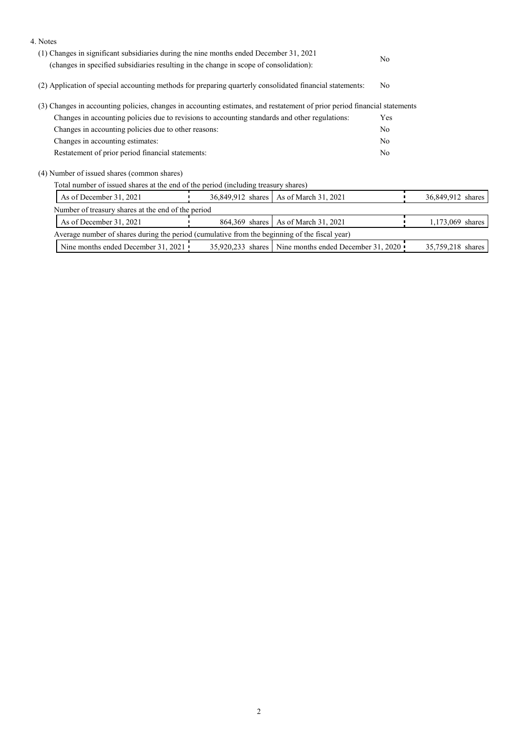| (2) Application of special accounting methods for preparing quarterly consolidated financial statements:<br>No<br>(3) Changes in accounting policies, changes in accounting estimates, and restatement of prior period financial statements<br>Changes in accounting policies due to revisions to accounting standards and other regulations:<br>Yes<br>Changes in accounting policies due to other reasons:<br>No<br>Changes in accounting estimates:<br>N <sub>0</sub><br>Restatement of prior period financial statements:<br>N <sub>o</sub><br>(4) Number of issued shares (common shares) |
|------------------------------------------------------------------------------------------------------------------------------------------------------------------------------------------------------------------------------------------------------------------------------------------------------------------------------------------------------------------------------------------------------------------------------------------------------------------------------------------------------------------------------------------------------------------------------------------------|
|                                                                                                                                                                                                                                                                                                                                                                                                                                                                                                                                                                                                |
|                                                                                                                                                                                                                                                                                                                                                                                                                                                                                                                                                                                                |
|                                                                                                                                                                                                                                                                                                                                                                                                                                                                                                                                                                                                |
|                                                                                                                                                                                                                                                                                                                                                                                                                                                                                                                                                                                                |
|                                                                                                                                                                                                                                                                                                                                                                                                                                                                                                                                                                                                |
|                                                                                                                                                                                                                                                                                                                                                                                                                                                                                                                                                                                                |
|                                                                                                                                                                                                                                                                                                                                                                                                                                                                                                                                                                                                |
| Total number of issued shares at the end of the period (including treasury shares)                                                                                                                                                                                                                                                                                                                                                                                                                                                                                                             |
| As of December 31, 2021<br>As of March 31, 2021<br>36,849,912 shares<br>36,849,912 shares                                                                                                                                                                                                                                                                                                                                                                                                                                                                                                      |
| Number of treasury shares at the end of the period                                                                                                                                                                                                                                                                                                                                                                                                                                                                                                                                             |
| As of December 31, 2021<br>864,369 shares<br>As of March 31, 2021<br>1,173,069 shares                                                                                                                                                                                                                                                                                                                                                                                                                                                                                                          |
| Average number of shares during the period (cumulative from the beginning of the fiscal year)                                                                                                                                                                                                                                                                                                                                                                                                                                                                                                  |
| Nine months ended December 31, 2021 !<br>Nine months ended December 31, 2020<br>35,920,233 shares<br>35,759,218 shares                                                                                                                                                                                                                                                                                                                                                                                                                                                                         |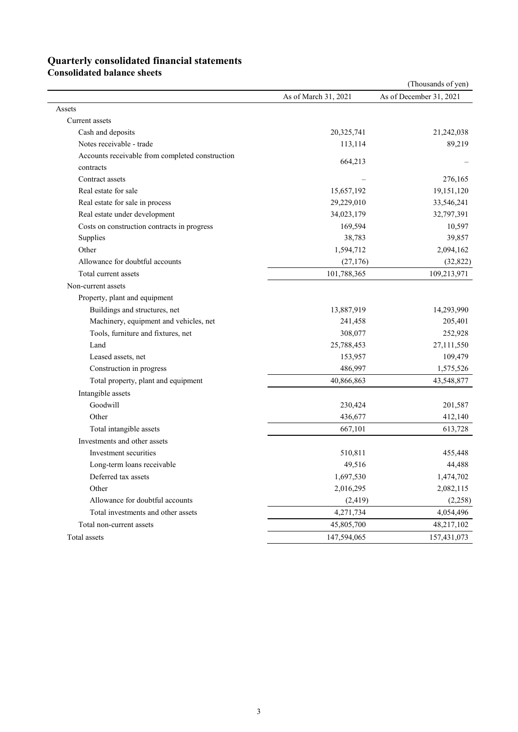# **Quarterly consolidated financial statements**

**Consolidated balance sheets** 

|                                                 |                      | (Thousands of yen)      |
|-------------------------------------------------|----------------------|-------------------------|
|                                                 | As of March 31, 2021 | As of December 31, 2021 |
| Assets                                          |                      |                         |
| Current assets                                  |                      |                         |
| Cash and deposits                               | 20,325,741           | 21,242,038              |
| Notes receivable - trade                        | 113,114              | 89,219                  |
| Accounts receivable from completed construction | 664,213              |                         |
| contracts                                       |                      |                         |
| Contract assets                                 |                      | 276,165                 |
| Real estate for sale                            | 15,657,192           | 19,151,120              |
| Real estate for sale in process                 | 29,229,010           | 33,546,241              |
| Real estate under development                   | 34,023,179           | 32,797,391              |
| Costs on construction contracts in progress     | 169,594              | 10,597                  |
| Supplies                                        | 38,783               | 39,857                  |
| Other                                           | 1,594,712            | 2,094,162               |
| Allowance for doubtful accounts                 | (27, 176)            | (32, 822)               |
| Total current assets                            | 101,788,365          | 109,213,971             |
| Non-current assets                              |                      |                         |
| Property, plant and equipment                   |                      |                         |
| Buildings and structures, net                   | 13,887,919           | 14,293,990              |
| Machinery, equipment and vehicles, net          | 241,458              | 205,401                 |
| Tools, furniture and fixtures, net              | 308,077              | 252,928                 |
| Land                                            | 25,788,453           | 27,111,550              |
| Leased assets, net                              | 153,957              | 109,479                 |
| Construction in progress                        | 486,997              | 1,575,526               |
| Total property, plant and equipment             | 40,866,863           | 43,548,877              |
| Intangible assets                               |                      |                         |
| Goodwill                                        | 230,424              | 201,587                 |
| Other                                           | 436,677              | 412,140                 |
| Total intangible assets                         | 667,101              | 613,728                 |
| Investments and other assets                    |                      |                         |
| Investment securities                           | 510,811              | 455,448                 |
| Long-term loans receivable                      | 49,516               | 44,488                  |
| Deferred tax assets                             | 1,697,530            | 1,474,702               |
| Other                                           | 2,016,295            | 2,082,115               |
| Allowance for doubtful accounts                 | (2, 419)             | (2,258)                 |
| Total investments and other assets              | 4,271,734            | 4,054,496               |
| Total non-current assets                        | 45,805,700           | 48,217,102              |
| Total assets                                    | 147,594,065          | 157,431,073             |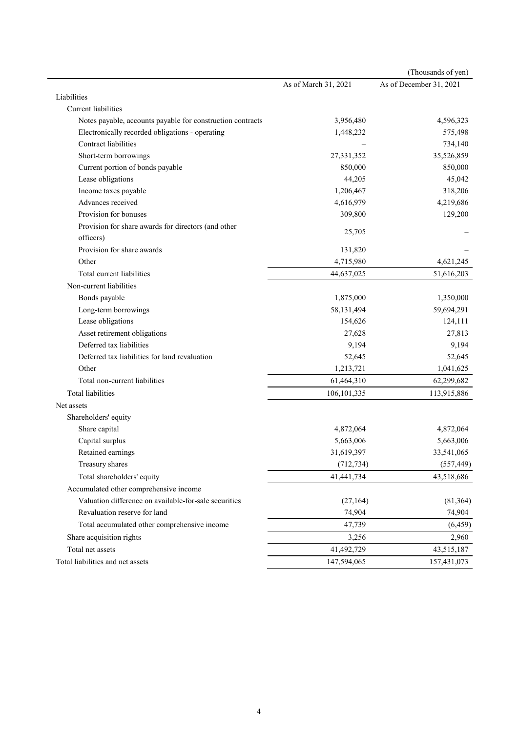|                                                            |                      | (Thousands of yen)      |
|------------------------------------------------------------|----------------------|-------------------------|
|                                                            | As of March 31, 2021 | As of December 31, 2021 |
| Liabilities                                                |                      |                         |
| Current liabilities                                        |                      |                         |
| Notes payable, accounts payable for construction contracts | 3,956,480            | 4,596,323               |
| Electronically recorded obligations - operating            | 1,448,232            | 575,498                 |
| Contract liabilities                                       |                      | 734,140                 |
| Short-term borrowings                                      | 27,331,352           | 35,526,859              |
| Current portion of bonds payable                           | 850,000              | 850,000                 |
| Lease obligations                                          | 44,205               | 45,042                  |
| Income taxes payable                                       | 1,206,467            | 318,206                 |
| Advances received                                          | 4,616,979            | 4,219,686               |
| Provision for bonuses                                      | 309,800              | 129,200                 |
| Provision for share awards for directors (and other        | 25,705               |                         |
| officers)                                                  |                      |                         |
| Provision for share awards                                 | 131,820              |                         |
| Other                                                      | 4,715,980            | 4,621,245               |
| Total current liabilities                                  | 44,637,025           | 51,616,203              |
| Non-current liabilities                                    |                      |                         |
| Bonds payable                                              | 1,875,000            | 1,350,000               |
| Long-term borrowings                                       | 58,131,494           | 59,694,291              |
| Lease obligations                                          | 154,626              | 124,111                 |
| Asset retirement obligations                               | 27,628               | 27,813                  |
| Deferred tax liabilities                                   | 9,194                | 9,194                   |
| Deferred tax liabilities for land revaluation              | 52,645               | 52,645                  |
| Other                                                      | 1,213,721            | 1,041,625               |
| Total non-current liabilities                              | 61,464,310           | 62,299,682              |
| <b>Total liabilities</b>                                   | 106, 101, 335        | 113,915,886             |
| Net assets                                                 |                      |                         |
| Shareholders' equity                                       |                      |                         |
| Share capital                                              | 4,872,064            | 4,872,064               |
| Capital surplus                                            | 5,663,006            | 5,663,006               |
| Retained earnings                                          | 31,619,397           | 33,541,065              |
| Treasury shares                                            | (712, 734)           | (557, 449)              |
| Total shareholders' equity                                 | 41,441,734           | 43,518,686              |
| Accumulated other comprehensive income                     |                      |                         |
| Valuation difference on available-for-sale securities      | (27, 164)            | (81,364)                |
| Revaluation reserve for land                               | 74,904               | 74,904                  |
| Total accumulated other comprehensive income               | 47,739               | (6, 459)                |
| Share acquisition rights                                   | 3,256                | 2,960                   |
| Total net assets                                           | 41,492,729           | 43,515,187              |
| Total liabilities and net assets                           | 147,594,065          | 157,431,073             |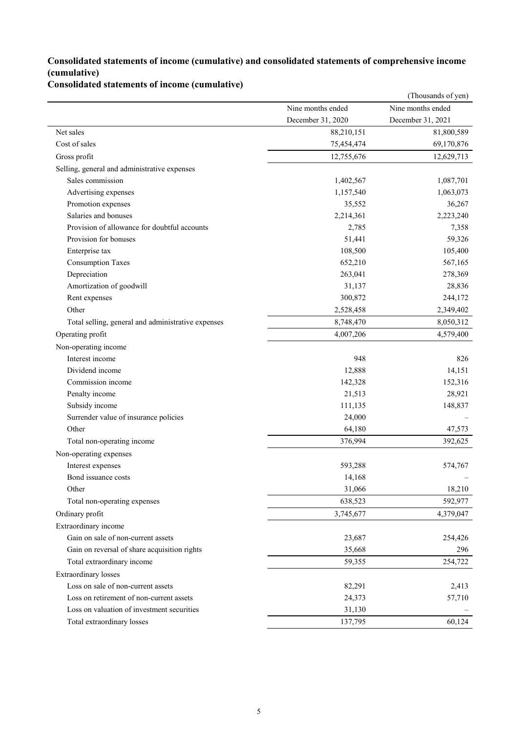### **Consolidated statements of income (cumulative) and consolidated statements of comprehensive income (cumulative)**

## **Consolidated statements of income (cumulative)**

|                                                    |                   | (Thousands of yen) |
|----------------------------------------------------|-------------------|--------------------|
|                                                    | Nine months ended | Nine months ended  |
|                                                    | December 31, 2020 | December 31, 2021  |
| Net sales                                          | 88,210,151        | 81,800,589         |
| Cost of sales                                      | 75,454,474        | 69,170,876         |
| Gross profit                                       | 12,755,676        | 12,629,713         |
| Selling, general and administrative expenses       |                   |                    |
| Sales commission                                   | 1,402,567         | 1,087,701          |
| Advertising expenses                               | 1,157,540         | 1,063,073          |
| Promotion expenses                                 | 35,552            | 36,267             |
| Salaries and bonuses                               | 2,214,361         | 2,223,240          |
| Provision of allowance for doubtful accounts       | 2,785             | 7,358              |
| Provision for bonuses                              | 51,441            | 59,326             |
| Enterprise tax                                     | 108,500           | 105,400            |
| <b>Consumption Taxes</b>                           | 652,210           | 567,165            |
| Depreciation                                       | 263,041           | 278,369            |
| Amortization of goodwill                           | 31,137            | 28,836             |
| Rent expenses                                      | 300,872           | 244,172            |
| Other                                              | 2,528,458         | 2,349,402          |
| Total selling, general and administrative expenses | 8,748,470         | 8,050,312          |
| Operating profit                                   | 4,007,206         | 4,579,400          |
| Non-operating income                               |                   |                    |
| Interest income                                    | 948               | 826                |
| Dividend income                                    | 12,888            | 14,151             |
| Commission income                                  | 142,328           | 152,316            |
| Penalty income                                     | 21,513            | 28,921             |
| Subsidy income                                     | 111,135           | 148,837            |
| Surrender value of insurance policies              | 24,000            |                    |
| Other                                              | 64,180            | 47,573             |
| Total non-operating income                         | 376,994           | 392,625            |
| Non-operating expenses                             |                   |                    |
| Interest expenses                                  | 593,288           | 574,767            |
| Bond issuance costs                                | 14,168            |                    |
| Other                                              | 31,066            | 18,210             |
| Total non-operating expenses                       | 638,523           | 592,977            |
| Ordinary profit                                    | 3,745,677         | 4,379,047          |
| Extraordinary income                               |                   |                    |
| Gain on sale of non-current assets                 | 23,687            | 254,426            |
| Gain on reversal of share acquisition rights       | 35,668            | 296                |
| Total extraordinary income                         | 59,355            | 254,722            |
| <b>Extraordinary</b> losses                        |                   |                    |
| Loss on sale of non-current assets                 | 82,291            | 2,413              |
| Loss on retirement of non-current assets           | 24,373            | 57,710             |
| Loss on valuation of investment securities         | 31,130            |                    |
| Total extraordinary losses                         | 137,795           | 60,124             |
|                                                    |                   |                    |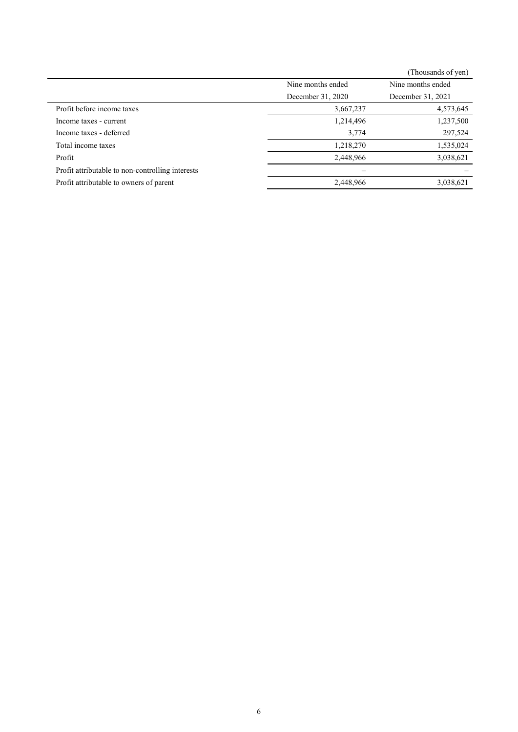|                                                  |                   | (Thousands of yen) |
|--------------------------------------------------|-------------------|--------------------|
|                                                  | Nine months ended | Nine months ended  |
|                                                  | December 31, 2020 | December 31, 2021  |
| Profit before income taxes                       | 3,667,237         | 4,573,645          |
| Income taxes - current                           | 1,214,496         | 1,237,500          |
| Income taxes - deferred                          | 3,774             | 297,524            |
| Total income taxes                               | 1,218,270         | 1,535,024          |
| Profit                                           | 2,448,966         | 3,038,621          |
| Profit attributable to non-controlling interests |                   |                    |
| Profit attributable to owners of parent          | 2,448,966         | 3,038,621          |
|                                                  |                   |                    |